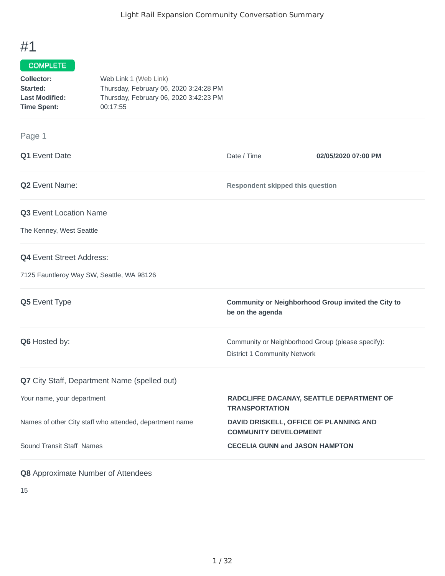## #1

## COMPLETE

| Collector:            | Web Link 1 (Web Link)                  |
|-----------------------|----------------------------------------|
| Started:              | Thursday, February 06, 2020 3:24:28 PM |
| <b>Last Modified:</b> | Thursday, February 06, 2020 3:42:23 PM |
| <b>Time Spent:</b>    | 00:17:55                               |

## Page 1

| Q1 Event Date                                           | Date / Time                                                                              | 02/05/2020 07:00 PM                                 |
|---------------------------------------------------------|------------------------------------------------------------------------------------------|-----------------------------------------------------|
| <b>Q2</b> Event Name:                                   | <b>Respondent skipped this question</b>                                                  |                                                     |
| Q3 Event Location Name                                  |                                                                                          |                                                     |
| The Kenney, West Seattle                                |                                                                                          |                                                     |
| <b>Q4</b> Event Street Address:                         |                                                                                          |                                                     |
| 7125 Fauntleroy Way SW, Seattle, WA 98126               |                                                                                          |                                                     |
| Q5 Event Type                                           | be on the agenda                                                                         | Community or Neighborhood Group invited the City to |
| Q6 Hosted by:                                           | Community or Neighborhood Group (please specify):<br><b>District 1 Community Network</b> |                                                     |
| Q7 City Staff, Department Name (spelled out)            |                                                                                          |                                                     |
| Your name, your department                              | RADCLIFFE DACANAY, SEATTLE DEPARTMENT OF<br><b>TRANSPORTATION</b>                        |                                                     |
| Names of other City staff who attended, department name | DAVID DRISKELL, OFFICE OF PLANNING AND<br><b>COMMUNITY DEVELOPMENT</b>                   |                                                     |
| Sound Transit Staff Names                               | <b>CECELIA GUNN and JASON HAMPTON</b>                                                    |                                                     |
| <b>Q8</b> Approximate Number of Attendees               |                                                                                          |                                                     |

15